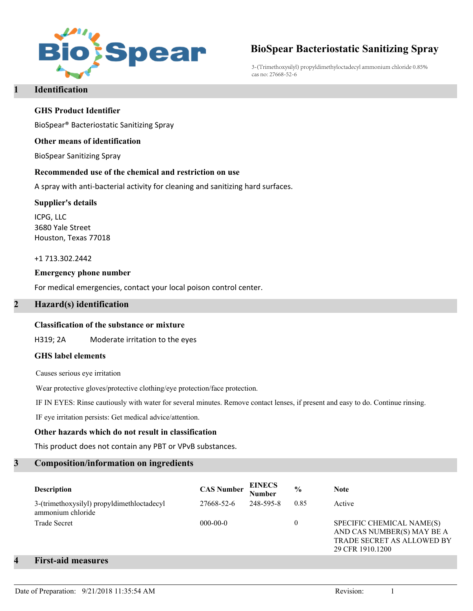

# **BioSpear Bacteriostatic Sanitizing Spray**

3-(Trimethoxysilyl) propyldimethyloctadecyl ammonium chloride 0.85% cas no: 27668-52-6

# **1 Identification**

### **GHS Product Identifier**

BioSpear® Bacteriostatic Sanitizing Spray

#### **Other means of identification**

BioSpear Sanitizing Spray

#### **Recommended use of the chemical and restriction on use**

A spray with anti-bacterial activity for cleaning and sanitizing hard surfaces.

#### **Supplier's details**

ICPG, LLC 3680 Yale Street Houston, Texas 77018

+1 713.302.2442

#### **Emergency phone number**

For medical emergencies, contact your local poison control center.

### **2 Hazard(s) identification**

#### **Classification of the substance or mixture**

H319; 2A Moderate irritation to the eyes

#### **GHS label elements**

Causes serious eye irritation

Wear protective gloves/protective clothing/eye protection/face protection.

IF IN EYES: Rinse cautiously with water for several minutes. Remove contact lenses, if present and easy to do. Continue rinsing.

IF eye irritation persists: Get medical advice/attention.

### **Other hazards which do not result in classification**

This product does not contain any PBT or VPvB substances.

#### **3 Composition/information on ingredients**

| <b>Description</b>                                              | <b>CAS Number</b> | EINECS<br>Number | $\frac{0}{0}$ | <b>Note</b>                                                                                                      |
|-----------------------------------------------------------------|-------------------|------------------|---------------|------------------------------------------------------------------------------------------------------------------|
| 3-(trimethoxysilyl) propyldimethloctadecyl<br>ammonium chloride | 27668-52-6        | 248-595-8        | 0.85          | Active                                                                                                           |
| <b>Trade Secret</b>                                             | $000-00-0$        |                  |               | SPECIFIC CHEMICAL NAME(S)<br>AND CAS NUMBER(S) MAY BE A<br><b>TRADE SECRET AS ALLOWED BY</b><br>29 CFR 1910.1200 |

# **4 First-aid measures**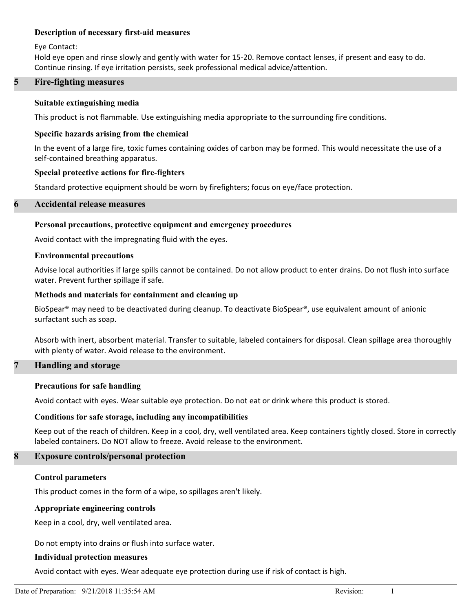### **Description of necessary first-aid measures**

Eye Contact:

Hold eye open and rinse slowly and gently with water for 15-20. Remove contact lenses, if present and easy to do. Continue rinsing. If eye irritation persists, seek professional medical advice/attention.

### **5 Fire-fighting measures**

#### **Suitable extinguishing media**

This product is not flammable. Use extinguishing media appropriate to the surrounding fire conditions.

#### **Specific hazards arising from the chemical**

In the event of a large fire, toxic fumes containing oxides of carbon may be formed. This would necessitate the use of a self-contained breathing apparatus.

#### **Special protective actions for fire-fighters**

Standard protective equipment should be worn by firefighters; focus on eye/face protection.

### **6 Accidental release measures**

#### **Personal precautions, protective equipment and emergency procedures**

Avoid contact with the impregnating fluid with the eyes.

#### **Environmental precautions**

Advise local authorities if large spills cannot be contained. Do not allow product to enter drains. Do not flush into surface water. Prevent further spillage if safe.

#### **Methods and materials for containment and cleaning up**

BioSpear<sup>®</sup> may need to be deactivated during cleanup. To deactivate BioSpear<sup>®</sup>, use equivalent amount of anionic surfactant such as soap.

Absorb with inert, absorbent material. Transfer to suitable, labeled containers for disposal. Clean spillage area thoroughly with plenty of water. Avoid release to the environment.

### **7 Handling and storage**

#### **Precautions for safe handling**

Avoid contact with eyes. Wear suitable eye protection. Do not eat or drink where this product is stored.

#### **Conditions for safe storage, including any incompatibilities**

Keep out of the reach of children. Keep in a cool, dry, well ventilated area. Keep containers tightly closed. Store in correctly labeled containers. Do NOT allow to freeze. Avoid release to the environment.

### **8 Exposure controls/personal protection**

#### **Control parameters**

This product comes in the form of a wipe, so spillages aren't likely.

#### **Appropriate engineering controls**

Keep in a cool, dry, well ventilated area.

Do not empty into drains or flush into surface water.

#### **Individual protection measures**

Avoid contact with eyes. Wear adequate eye protection during use if risk of contact is high.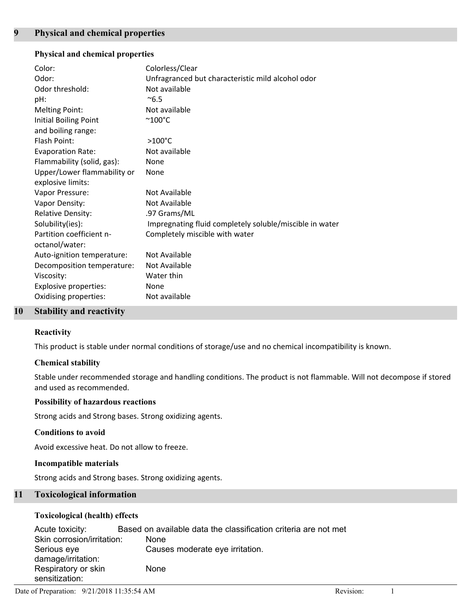# **Physical and chemical properties**

| Color:<br>Odor:<br>Odor threshold:<br>pH:<br><b>Melting Point:</b><br>Initial Boiling Point | Colorless/Clear<br>Unfragranced but characteristic mild alcohol odor<br>Not available<br>$^{\sim}6.5$<br>Not available<br>$^{\sim}$ 100 $^{\circ}$ C |
|---------------------------------------------------------------------------------------------|------------------------------------------------------------------------------------------------------------------------------------------------------|
| and boiling range:<br>Flash Point:                                                          | $>100^{\circ}$ C                                                                                                                                     |
| <b>Evaporation Rate:</b>                                                                    | Not available                                                                                                                                        |
| Flammability (solid, gas):                                                                  | None                                                                                                                                                 |
| Upper/Lower flammability or<br>explosive limits:                                            | None                                                                                                                                                 |
| Vapor Pressure:                                                                             | Not Available                                                                                                                                        |
| Vapor Density:                                                                              | Not Available                                                                                                                                        |
| <b>Relative Density:</b>                                                                    | .97 Grams/ML                                                                                                                                         |
| Solubility(ies):                                                                            | Impregnating fluid completely soluble/miscible in water                                                                                              |
| Partition coefficient n-<br>octanol/water:                                                  | Completely miscible with water                                                                                                                       |
| Auto-ignition temperature:                                                                  | Not Available                                                                                                                                        |
| Decomposition temperature:                                                                  | Not Available                                                                                                                                        |
| Viscosity:                                                                                  | Water thin                                                                                                                                           |
| <b>Explosive properties:</b>                                                                | None                                                                                                                                                 |
| Oxidising properties:                                                                       | Not available                                                                                                                                        |
|                                                                                             |                                                                                                                                                      |

### **10 Stability and reactivity**

### **Reactivity**

This product is stable under normal conditions of storage/use and no chemical incompatibility is known.

### **Chemical stability**

Stable under recommended storage and handling conditions. The product is not flammable. Will not decompose if stored and used as recommended.

### **Possibility of hazardous reactions**

Strong acids and Strong bases. Strong oxidizing agents.

#### **Conditions to avoid**

Avoid excessive heat. Do not allow to freeze.

### **Incompatible materials**

Strong acids and Strong bases. Strong oxidizing agents.

# **11 Toxicological information**

### **Toxicological (health) effects**

| Acute toxicity:            | Based on available data the classification criteria are not met |
|----------------------------|-----------------------------------------------------------------|
| Skin corrosion/irritation: | None                                                            |
| Serious eye                | Causes moderate eye irritation.                                 |
| damage/irritation:         |                                                                 |
| Respiratory or skin        | None                                                            |
| sensitization:             |                                                                 |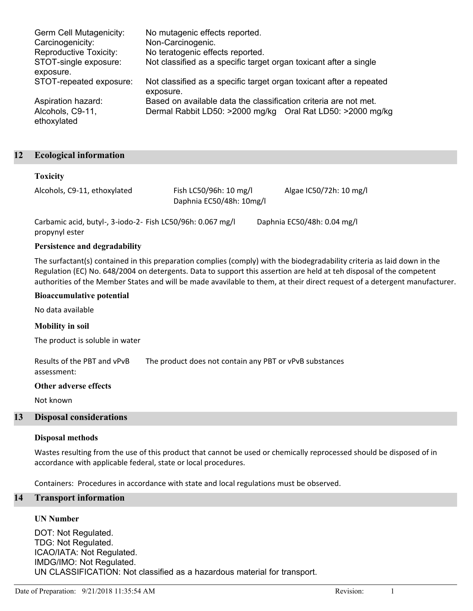| Germ Cell Mutagenicity:            | No mutagenic effects reported.                                                   |
|------------------------------------|----------------------------------------------------------------------------------|
| Carcinogenicity:                   | Non-Carcinogenic.                                                                |
| Reproductive Toxicity:             | No teratogenic effects reported.                                                 |
| STOT-single exposure:<br>exposure. | Not classified as a specific target organ toxicant after a single                |
| STOT-repeated exposure:            | Not classified as a specific target organ toxicant after a repeated<br>exposure. |
| Aspiration hazard:                 | Based on available data the classification criteria are not met.                 |
| Alcohols, C9-11,<br>ethoxylated    | Dermal Rabbit LD50: >2000 mg/kg Oral Rat LD50: >2000 mg/kg                       |

### **12 Ecological information**

#### **Toxicity**

| Alcohols, C9-11, ethoxylated | Fish LC50/96h: 10 mg/l   | Algae IC50/72h: 10 mg/l |
|------------------------------|--------------------------|-------------------------|
|                              | Daphnia EC50/48h: 10mg/l |                         |

Carbamic acid, butyl-, 3-iodo-2- Fish LC50/96h: 0.067 mg/l Daphnia EC50/48h: 0.04 mg/l propynyl ester

# **Persistence and degradability**

The surfactant(s) contained in this preparation complies (comply) with the biodegradability criteria as laid down in the Regulation (EC) No. 648/2004 on detergents. Data to support this assertion are held at teh disposal of the competent authorities of the Member States and will be made avavilable to them, at their direct request of a detergent manufacturer.

#### **Bioaccumulative potential**

No data available

#### **Mobility in soil**

The product is soluble in water

Results of the PBT and vPvB The product does not contain any PBT or vPvB substances assessment:

#### **Other adverse effects**

Not known

### **13 Disposal considerations**

#### **Disposal methods**

Wastes resulting from the use of this product that cannot be used or chemically reprocessed should be disposed of in accordance with applicable federal, state or local procedures.

Containers: Procedures in accordance with state and local regulations must be observed.

# **14 Transport information**

#### **UN Number**

DOT: Not Regulated. TDG: Not Regulated. ICAO/IATA: Not Regulated. IMDG/IMO: Not Regulated. UN CLASSIFICATION: Not classified as a hazardous material for transport.